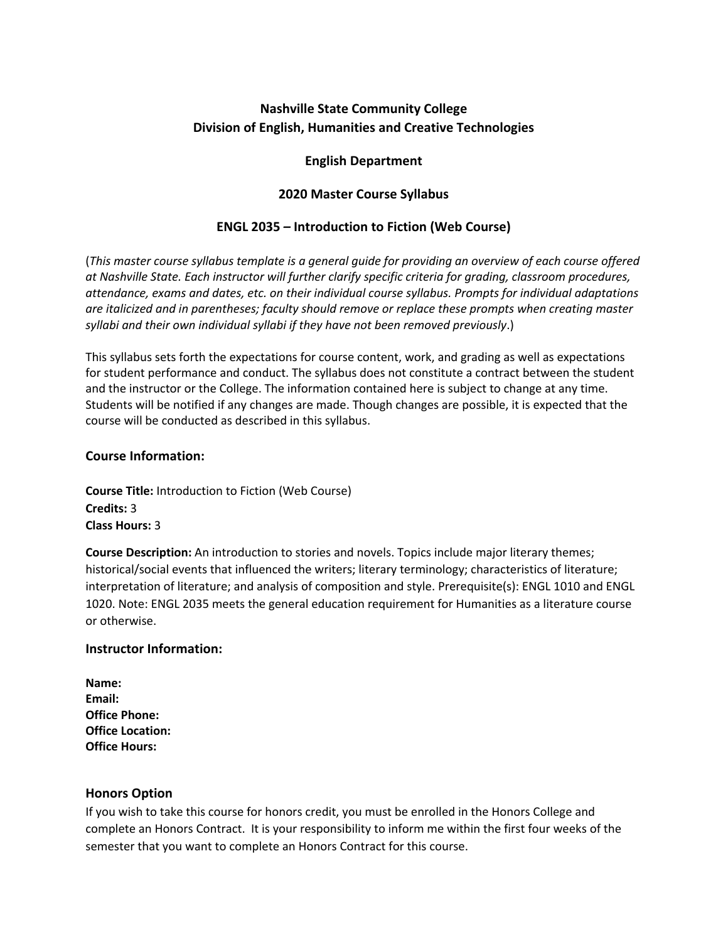# **Nashville State Community College Division of English, Humanities and Creative Technologies**

### **English Department**

### **2020 Master Course Syllabus**

## **ENGL 2035** *–* **Introduction to Fiction (Web Course)**

(*This master course syllabus template is a general guide for providing an overview of each course offered at Nashville State. Each instructor will further clarify specific criteria for grading, classroom procedures, attendance, exams and dates, etc. on their individual course syllabus. Prompts for individual adaptations are italicized and in parentheses; faculty should remove or replace these prompts when creating master syllabi and their own individual syllabi if they have not been removed previously*.)

This syllabus sets forth the expectations for course content, work, and grading as well as expectations for student performance and conduct. The syllabus does not constitute a contract between the student and the instructor or the College. The information contained here is subject to change at any time. Students will be notified if any changes are made. Though changes are possible, it is expected that the course will be conducted as described in this syllabus.

#### **Course Information:**

**Course Title:** Introduction to Fiction (Web Course) **Credits:** 3 **Class Hours:** 3

**Course Description:** An introduction to stories and novels. Topics include major literary themes; historical/social events that influenced the writers; literary terminology; characteristics of literature; interpretation of literature; and analysis of composition and style. Prerequisite(s): ENGL 1010 and ENGL 1020. Note: ENGL 2035 meets the general education requirement for Humanities as a literature course or otherwise.

### **Instructor Information:**

| Name:                   |
|-------------------------|
| Email:                  |
| <b>Office Phone:</b>    |
| <b>Office Location:</b> |
| <b>Office Hours:</b>    |

### **Honors Option**

If you wish to take this course for honors credit, you must be enrolled in the Honors College and complete an Honors Contract. It is your responsibility to inform me within the first four weeks of the semester that you want to complete an Honors Contract for this course.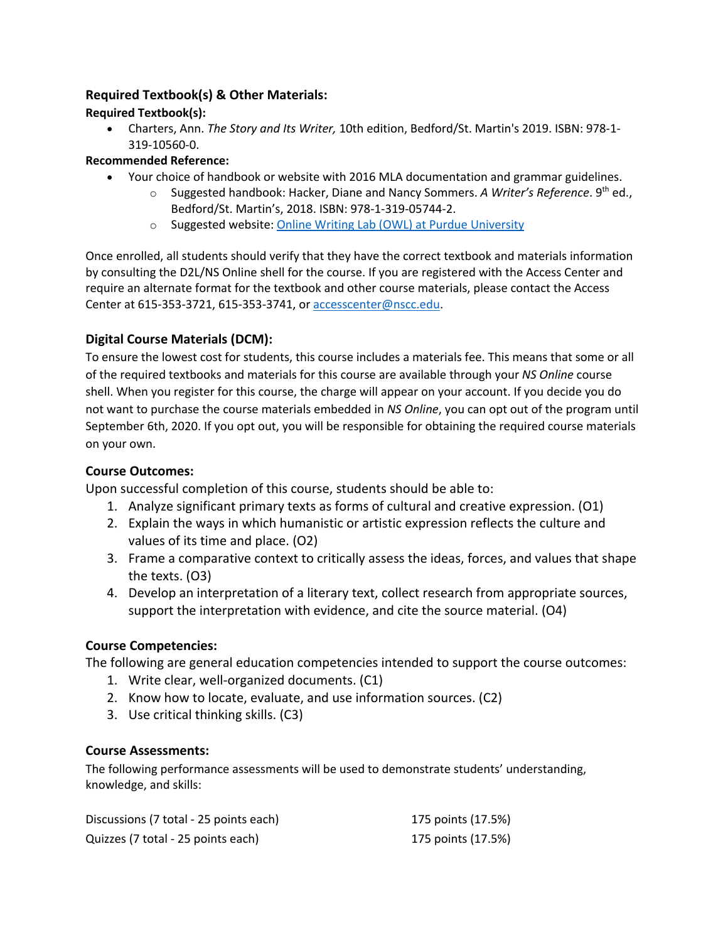## **Required Textbook(s) & Other Materials:**

### **Required Textbook(s):**

• Charters, Ann. *The Story and Its Writer,* 10th edition, Bedford/St. Martin's 2019. ISBN: 978-1- 319-10560-0.

### **Recommended Reference:**

- Your choice of handbook or website with 2016 MLA documentation and grammar guidelines.
	- o Suggested handbook: Hacker, Diane and Nancy Sommers. *A Writer's Reference*. 9th ed., Bedford/St. Martin's, 2018. ISBN: 978-1-319-05744-2.
	- o Suggested website: Online Writing Lab (OWL) at Purdue University

Once enrolled, all students should verify that they have the correct textbook and materials information by consulting the D2L/NS Online shell for the course. If you are registered with the Access Center and require an alternate format for the textbook and other course materials, please contact the Access Center at 615-353-3721, 615-353-3741, or accesscenter@nscc.edu.

## **Digital Course Materials (DCM):**

To ensure the lowest cost for students, this course includes a materials fee. This means that some or all of the required textbooks and materials for this course are available through your *NS Online* course shell. When you register for this course, the charge will appear on your account. If you decide you do not want to purchase the course materials embedded in *NS Online*, you can opt out of the program until September 6th, 2020. If you opt out, you will be responsible for obtaining the required course materials on your own.

### **Course Outcomes:**

Upon successful completion of this course, students should be able to:

- 1. Analyze significant primary texts as forms of cultural and creative expression. (O1)
- 2. Explain the ways in which humanistic or artistic expression reflects the culture and values of its time and place. (O2)
- 3. Frame a comparative context to critically assess the ideas, forces, and values that shape the texts. (O3)
- 4. Develop an interpretation of a literary text, collect research from appropriate sources, support the interpretation with evidence, and cite the source material. (O4)

### **Course Competencies:**

The following are general education competencies intended to support the course outcomes:

- 1. Write clear, well-organized documents. (C1)
- 2. Know how to locate, evaluate, and use information sources. (C2)
- 3. Use critical thinking skills. (C3)

### **Course Assessments:**

The following performance assessments will be used to demonstrate students' understanding, knowledge, and skills:

| Discussions (7 total - 25 points each) | 175 points (17.5%) |
|----------------------------------------|--------------------|
| Quizzes (7 total - 25 points each)     | 175 points (17.5%) |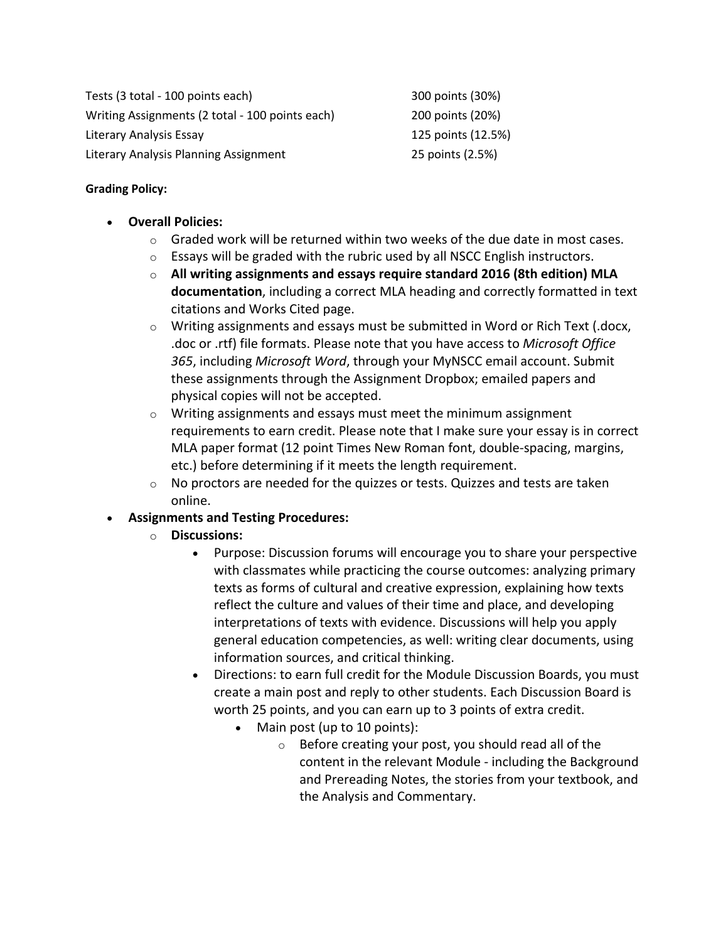Tests (3 total - 100 points each) 300 points (30%) Writing Assignments (2 total - 100 points each) 200 points (20%) Literary Analysis Essay 125 points (12.5%) Literary Analysis Planning Assignment 25 points (2.5%)

## **Grading Policy:**

- **Overall Policies:**
	- $\circ$  Graded work will be returned within two weeks of the due date in most cases.
	- $\circ$  Essays will be graded with the rubric used by all NSCC English instructors.
	- o **All writing assignments and essays require standard 2016 (8th edition) MLA documentation**, including a correct MLA heading and correctly formatted in text citations and Works Cited page.
	- $\circ$  Writing assignments and essays must be submitted in Word or Rich Text (.docx, .doc or .rtf) file formats. Please note that you have access to *Microsoft Office 365*, including *Microsoft Word*, through your MyNSCC email account. Submit these assignments through the Assignment Dropbox; emailed papers and physical copies will not be accepted.
	- $\circ$  Writing assignments and essays must meet the minimum assignment requirements to earn credit. Please note that I make sure your essay is in correct MLA paper format (12 point Times New Roman font, double-spacing, margins, etc.) before determining if it meets the length requirement.
	- $\circ$  No proctors are needed for the quizzes or tests. Quizzes and tests are taken online.
- **Assignments and Testing Procedures:**
	- o **Discussions:**
		- Purpose: Discussion forums will encourage you to share your perspective with classmates while practicing the course outcomes: analyzing primary texts as forms of cultural and creative expression, explaining how texts reflect the culture and values of their time and place, and developing interpretations of texts with evidence. Discussions will help you apply general education competencies, as well: writing clear documents, using information sources, and critical thinking.
		- Directions: to earn full credit for the Module Discussion Boards, you must create a main post and reply to other students. Each Discussion Board is worth 25 points, and you can earn up to 3 points of extra credit.
			- Main post (up to 10 points):
				- o Before creating your post, you should read all of the content in the relevant Module - including the Background and Prereading Notes, the stories from your textbook, and the Analysis and Commentary.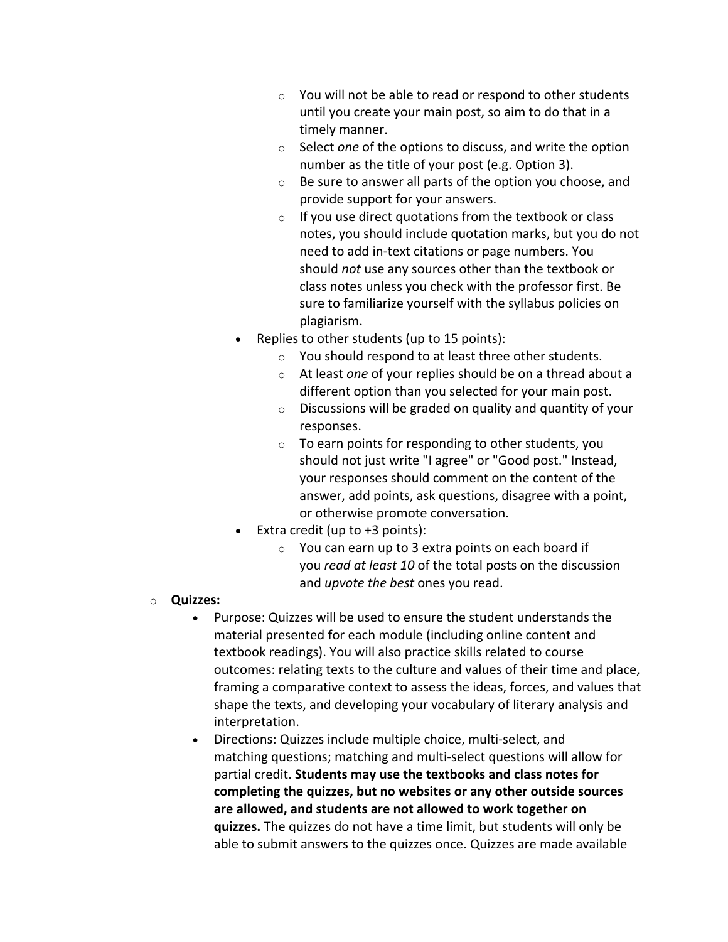- $\circ$  You will not be able to read or respond to other students until you create your main post, so aim to do that in a timely manner.
- o Select *one* of the options to discuss, and write the option number as the title of your post (e.g. Option 3).
- o Be sure to answer all parts of the option you choose, and provide support for your answers.
- $\circ$  If you use direct quotations from the textbook or class notes, you should include quotation marks, but you do not need to add in-text citations or page numbers. You should *not* use any sources other than the textbook or class notes unless you check with the professor first. Be sure to familiarize yourself with the syllabus policies on plagiarism.
- Replies to other students (up to 15 points):
	- o You should respond to at least three other students.
	- o At least *one* of your replies should be on a thread about a different option than you selected for your main post.
	- $\circ$  Discussions will be graded on quality and quantity of your responses.
	- $\circ$  To earn points for responding to other students, you should not just write "I agree" or "Good post." Instead, your responses should comment on the content of the answer, add points, ask questions, disagree with a point, or otherwise promote conversation.
- Extra credit (up to  $+3$  points):
	- $\circ$  You can earn up to 3 extra points on each board if you *read at least 10* of the total posts on the discussion and *upvote the best* ones you read.
- o **Quizzes:**
	- Purpose: Quizzes will be used to ensure the student understands the material presented for each module (including online content and textbook readings). You will also practice skills related to course outcomes: relating texts to the culture and values of their time and place, framing a comparative context to assess the ideas, forces, and values that shape the texts, and developing your vocabulary of literary analysis and interpretation.
	- Directions: Quizzes include multiple choice, multi-select, and matching questions; matching and multi-select questions will allow for partial credit. **Students may use the textbooks and class notes for completing the quizzes, but no websites or any other outside sources are allowed, and students are not allowed to work together on quizzes.** The quizzes do not have a time limit, but students will only be able to submit answers to the quizzes once. Quizzes are made available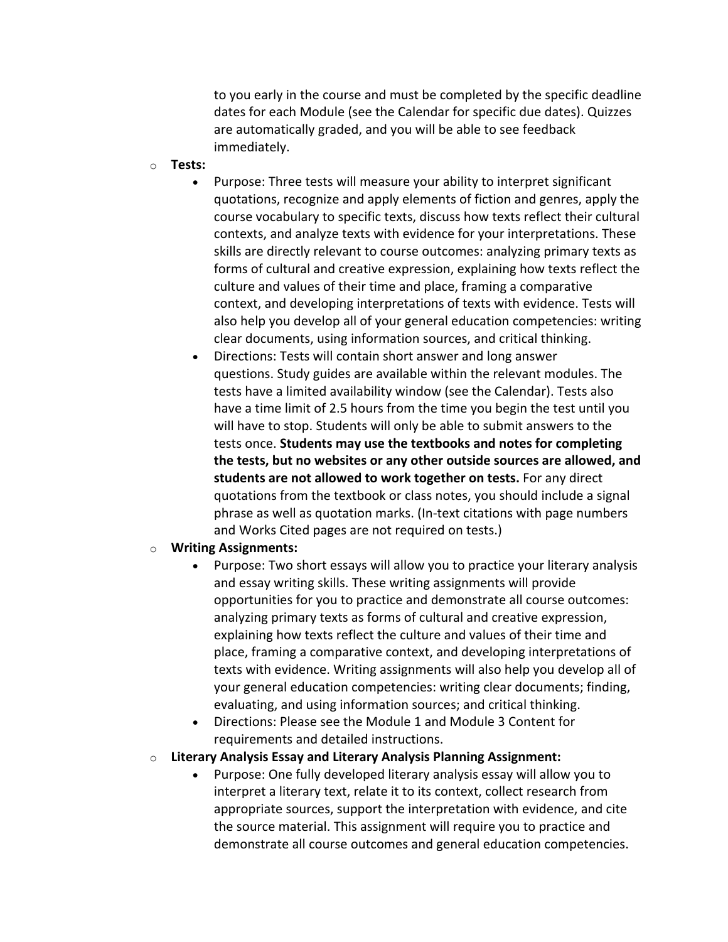to you early in the course and must be completed by the specific deadline dates for each Module (see the Calendar for specific due dates). Quizzes are automatically graded, and you will be able to see feedback immediately.

- o **Tests:**
	- Purpose: Three tests will measure your ability to interpret significant quotations, recognize and apply elements of fiction and genres, apply the course vocabulary to specific texts, discuss how texts reflect their cultural contexts, and analyze texts with evidence for your interpretations. These skills are directly relevant to course outcomes: analyzing primary texts as forms of cultural and creative expression, explaining how texts reflect the culture and values of their time and place, framing a comparative context, and developing interpretations of texts with evidence. Tests will also help you develop all of your general education competencies: writing clear documents, using information sources, and critical thinking.
	- Directions: Tests will contain short answer and long answer questions. Study guides are available within the relevant modules. The tests have a limited availability window (see the Calendar). Tests also have a time limit of 2.5 hours from the time you begin the test until you will have to stop. Students will only be able to submit answers to the tests once. **Students may use the textbooks and notes for completing the tests, but no websites or any other outside sources are allowed, and students are not allowed to work together on tests.** For any direct quotations from the textbook or class notes, you should include a signal phrase as well as quotation marks. (In-text citations with page numbers and Works Cited pages are not required on tests.)
- o **Writing Assignments:**
	- Purpose: Two short essays will allow you to practice your literary analysis and essay writing skills. These writing assignments will provide opportunities for you to practice and demonstrate all course outcomes: analyzing primary texts as forms of cultural and creative expression, explaining how texts reflect the culture and values of their time and place, framing a comparative context, and developing interpretations of texts with evidence. Writing assignments will also help you develop all of your general education competencies: writing clear documents; finding, evaluating, and using information sources; and critical thinking.
	- Directions: Please see the Module 1 and Module 3 Content for requirements and detailed instructions.
- o **Literary Analysis Essay and Literary Analysis Planning Assignment:**
	- Purpose: One fully developed literary analysis essay will allow you to interpret a literary text, relate it to its context, collect research from appropriate sources, support the interpretation with evidence, and cite the source material. This assignment will require you to practice and demonstrate all course outcomes and general education competencies.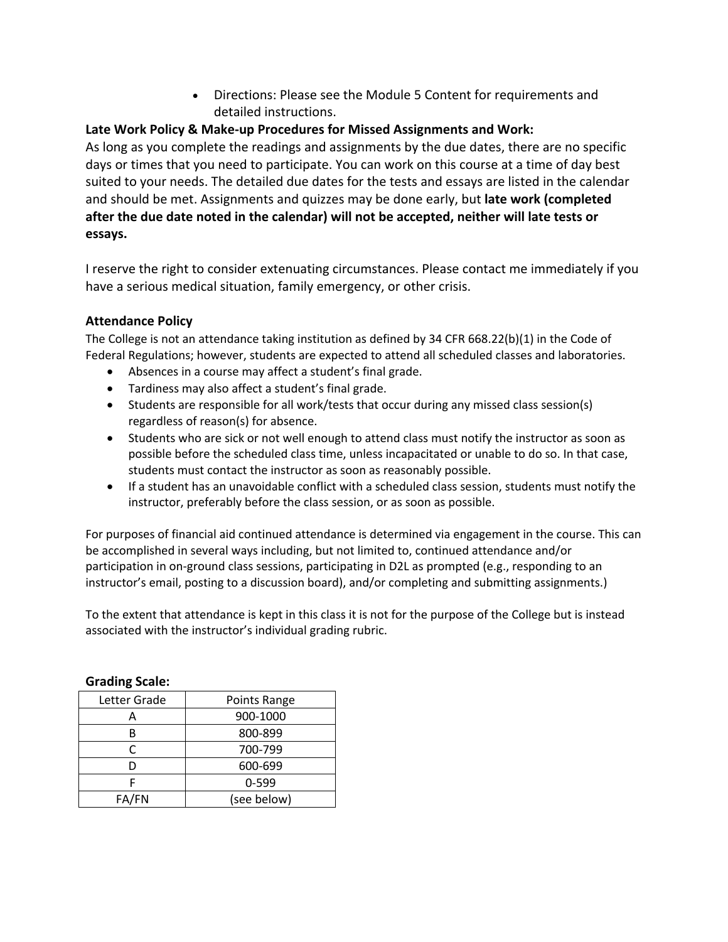• Directions: Please see the Module 5 Content for requirements and detailed instructions.

## **Late Work Policy & Make-up Procedures for Missed Assignments and Work:**

As long as you complete the readings and assignments by the due dates, there are no specific days or times that you need to participate. You can work on this course at a time of day best suited to your needs. The detailed due dates for the tests and essays are listed in the calendar and should be met. Assignments and quizzes may be done early, but **late work (completed after the due date noted in the calendar) will not be accepted, neither will late tests or essays.**

I reserve the right to consider extenuating circumstances. Please contact me immediately if you have a serious medical situation, family emergency, or other crisis.

## **Attendance Policy**

The College is not an attendance taking institution as defined by 34 CFR 668.22(b)(1) in the Code of Federal Regulations; however, students are expected to attend all scheduled classes and laboratories.

- Absences in a course may affect a student's final grade.
- Tardiness may also affect a student's final grade.
- Students are responsible for all work/tests that occur during any missed class session(s) regardless of reason(s) for absence.
- Students who are sick or not well enough to attend class must notify the instructor as soon as possible before the scheduled class time, unless incapacitated or unable to do so. In that case, students must contact the instructor as soon as reasonably possible.
- If a student has an unavoidable conflict with a scheduled class session, students must notify the instructor, preferably before the class session, or as soon as possible.

For purposes of financial aid continued attendance is determined via engagement in the course. This can be accomplished in several ways including, but not limited to, continued attendance and/or participation in on-ground class sessions, participating in D2L as prompted (e.g., responding to an instructor's email, posting to a discussion board), and/or completing and submitting assignments.)

To the extent that attendance is kept in this class it is not for the purpose of the College but is instead associated with the instructor's individual grading rubric.

| www.npower   |              |
|--------------|--------------|
| Letter Grade | Points Range |
|              | 900-1000     |
|              | 800-899      |
| Ր            | 700-799      |
|              | 600-699      |
|              | $0 - 599$    |
| FA/FN        | (see below)  |

#### **Grading Scale:**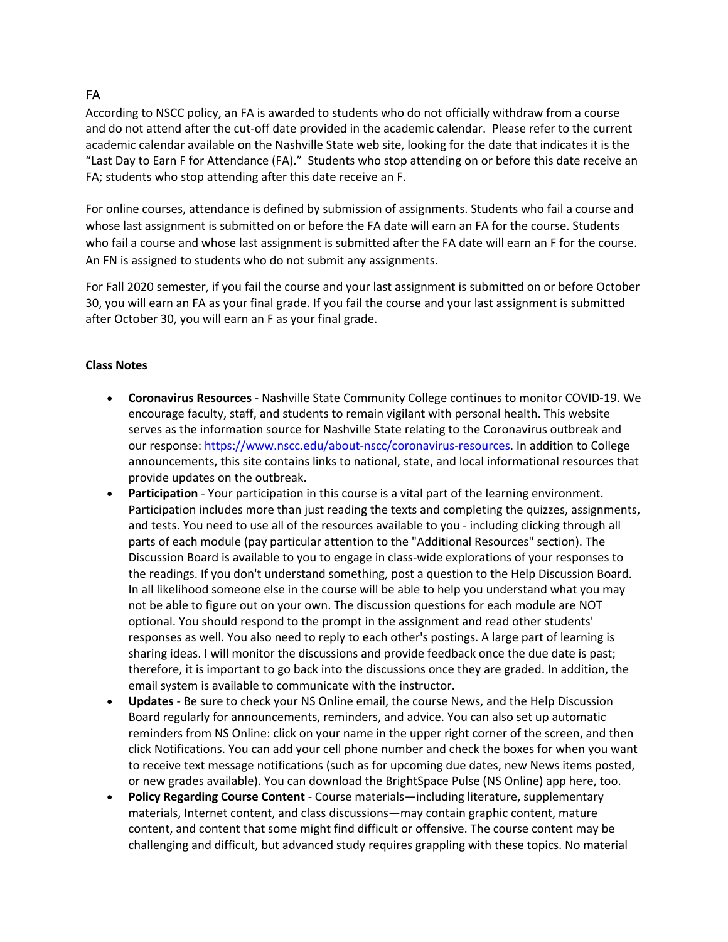## FA

According to NSCC policy, an FA is awarded to students who do not officially withdraw from a course and do not attend after the cut-off date provided in the academic calendar. Please refer to the current academic calendar available on the Nashville State web site, looking for the date that indicates it is the "Last Day to Earn F for Attendance (FA)." Students who stop attending on or before this date receive an FA; students who stop attending after this date receive an F.

For online courses, attendance is defined by submission of assignments. Students who fail a course and whose last assignment is submitted on or before the FA date will earn an FA for the course. Students who fail a course and whose last assignment is submitted after the FA date will earn an F for the course. An FN is assigned to students who do not submit any assignments.

For Fall 2020 semester, if you fail the course and your last assignment is submitted on or before October 30, you will earn an FA as your final grade. If you fail the course and your last assignment is submitted after October 30, you will earn an F as your final grade.

#### **Class Notes**

- **Coronavirus Resources** Nashville State Community College continues to monitor COVID-19. We encourage faculty, staff, and students to remain vigilant with personal health. This website serves as the information source for Nashville State relating to the Coronavirus outbreak and our response: https://www.nscc.edu/about-nscc/coronavirus-resources. In addition to College announcements, this site contains links to national, state, and local informational resources that provide updates on the outbreak.
- Participation Your participation in this course is a vital part of the learning environment. Participation includes more than just reading the texts and completing the quizzes, assignments, and tests. You need to use all of the resources available to you - including clicking through all parts of each module (pay particular attention to the "Additional Resources" section). The Discussion Board is available to you to engage in class-wide explorations of your responses to the readings. If you don't understand something, post a question to the Help Discussion Board. In all likelihood someone else in the course will be able to help you understand what you may not be able to figure out on your own. The discussion questions for each module are NOT optional. You should respond to the prompt in the assignment and read other students' responses as well. You also need to reply to each other's postings. A large part of learning is sharing ideas. I will monitor the discussions and provide feedback once the due date is past; therefore, it is important to go back into the discussions once they are graded. In addition, the email system is available to communicate with the instructor.
- **Updates** Be sure to check your NS Online email, the course News, and the Help Discussion Board regularly for announcements, reminders, and advice. You can also set up automatic reminders from NS Online: click on your name in the upper right corner of the screen, and then click Notifications. You can add your cell phone number and check the boxes for when you want to receive text message notifications (such as for upcoming due dates, new News items posted, or new grades available). You can download the BrightSpace Pulse (NS Online) app here, too.
- **Policy Regarding Course Content** Course materials—including literature, supplementary materials, Internet content, and class discussions—may contain graphic content, mature content, and content that some might find difficult or offensive. The course content may be challenging and difficult, but advanced study requires grappling with these topics. No material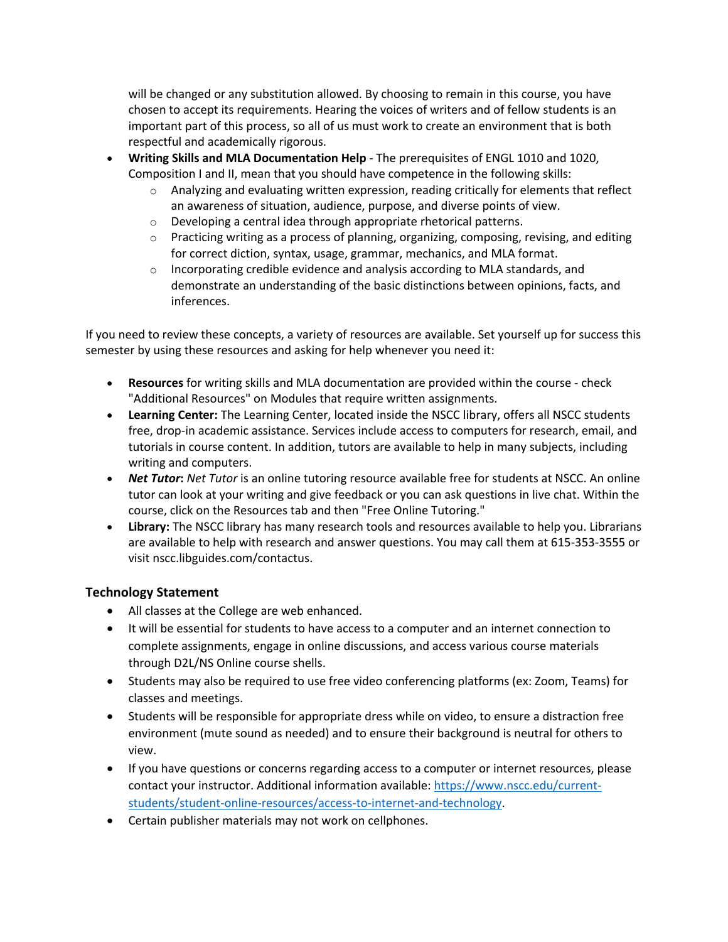will be changed or any substitution allowed. By choosing to remain in this course, you have chosen to accept its requirements. Hearing the voices of writers and of fellow students is an important part of this process, so all of us must work to create an environment that is both respectful and academically rigorous.

- **Writing Skills and MLA Documentation Help** The prerequisites of ENGL 1010 and 1020, Composition I and II, mean that you should have competence in the following skills:
	- $\circ$  Analyzing and evaluating written expression, reading critically for elements that reflect an awareness of situation, audience, purpose, and diverse points of view.
	- o Developing a central idea through appropriate rhetorical patterns.
	- $\circ$  Practicing writing as a process of planning, organizing, composing, revising, and editing for correct diction, syntax, usage, grammar, mechanics, and MLA format.
	- $\circ$  Incorporating credible evidence and analysis according to MLA standards, and demonstrate an understanding of the basic distinctions between opinions, facts, and inferences.

If you need to review these concepts, a variety of resources are available. Set yourself up for success this semester by using these resources and asking for help whenever you need it:

- **Resources** for writing skills and MLA documentation are provided within the course check "Additional Resources" on Modules that require written assignments.
- **Learning Center:** The Learning Center, located inside the NSCC library, offers all NSCC students free, drop-in academic assistance. Services include access to computers for research, email, and tutorials in course content. In addition, tutors are available to help in many subjects, including writing and computers.
- *Net Tutor***:** *Net Tutor* is an online tutoring resource available free for students at NSCC. An online tutor can look at your writing and give feedback or you can ask questions in live chat. Within the course, click on the Resources tab and then "Free Online Tutoring."
- **Library:** The NSCC library has many research tools and resources available to help you. Librarians are available to help with research and answer questions. You may call them at 615-353-3555 or visit nscc.libguides.com/contactus.

## **Technology Statement**

- All classes at the College are web enhanced.
- It will be essential for students to have access to a computer and an internet connection to complete assignments, engage in online discussions, and access various course materials through D2L/NS Online course shells.
- Students may also be required to use free video conferencing platforms (ex: Zoom, Teams) for classes and meetings.
- Students will be responsible for appropriate dress while on video, to ensure a distraction free environment (mute sound as needed) and to ensure their background is neutral for others to view.
- If you have questions or concerns regarding access to a computer or internet resources, please contact your instructor. Additional information available: https://www.nscc.edu/currentstudents/student-online-resources/access-to-internet-and-technology.
- Certain publisher materials may not work on cellphones.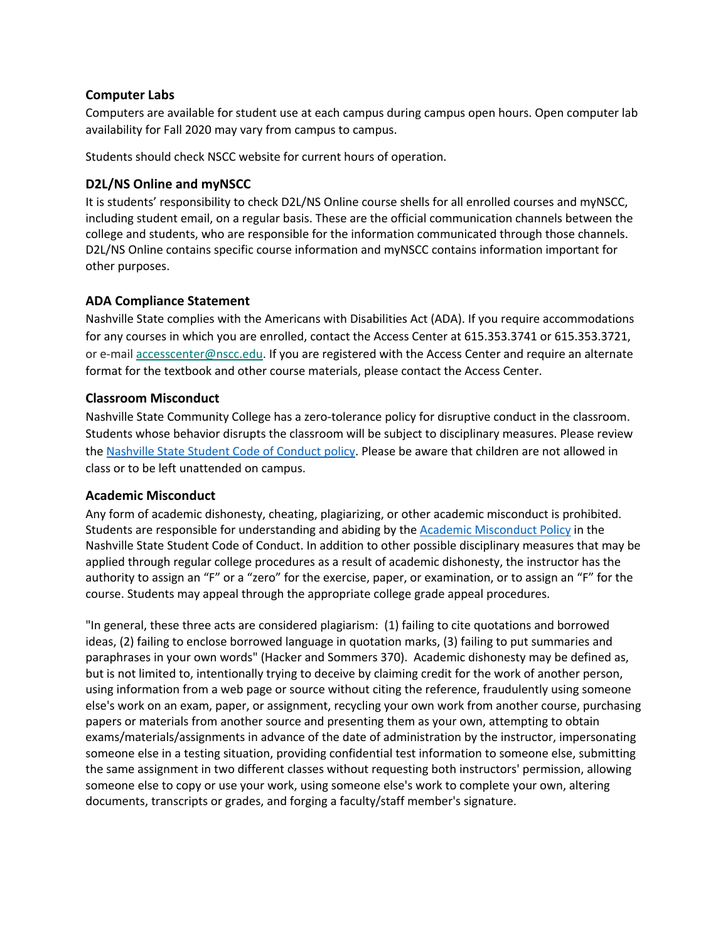#### **Computer Labs**

Computers are available for student use at each campus during campus open hours. Open computer lab availability for Fall 2020 may vary from campus to campus.

Students should check NSCC website for current hours of operation.

### **D2L/NS Online and myNSCC**

It is students' responsibility to check D2L/NS Online course shells for all enrolled courses and myNSCC, including student email, on a regular basis. These are the official communication channels between the college and students, who are responsible for the information communicated through those channels. D2L/NS Online contains specific course information and myNSCC contains information important for other purposes.

### **ADA Compliance Statement**

Nashville State complies with the Americans with Disabilities Act (ADA). If you require accommodations for any courses in which you are enrolled, contact the Access Center at 615.353.3741 or 615.353.3721, or e-mail accesscenter@nscc.edu. If you are registered with the Access Center and require an alternate format for the textbook and other course materials, please contact the Access Center.

### **Classroom Misconduct**

Nashville State Community College has a zero-tolerance policy for disruptive conduct in the classroom. Students whose behavior disrupts the classroom will be subject to disciplinary measures. Please review the Nashville State Student Code of Conduct policy. Please be aware that children are not allowed in class or to be left unattended on campus.

### **Academic Misconduct**

Any form of academic dishonesty, cheating, plagiarizing, or other academic misconduct is prohibited. Students are responsible for understanding and abiding by the Academic Misconduct Policy in the Nashville State Student Code of Conduct. In addition to other possible disciplinary measures that may be applied through regular college procedures as a result of academic dishonesty, the instructor has the authority to assign an "F" or a "zero" for the exercise, paper, or examination, or to assign an "F" for the course. Students may appeal through the appropriate college grade appeal procedures.

"In general, these three acts are considered plagiarism: (1) failing to cite quotations and borrowed ideas, (2) failing to enclose borrowed language in quotation marks, (3) failing to put summaries and paraphrases in your own words" (Hacker and Sommers 370). Academic dishonesty may be defined as, but is not limited to, intentionally trying to deceive by claiming credit for the work of another person, using information from a web page or source without citing the reference, fraudulently using someone else's work on an exam, paper, or assignment, recycling your own work from another course, purchasing papers or materials from another source and presenting them as your own, attempting to obtain exams/materials/assignments in advance of the date of administration by the instructor, impersonating someone else in a testing situation, providing confidential test information to someone else, submitting the same assignment in two different classes without requesting both instructors' permission, allowing someone else to copy or use your work, using someone else's work to complete your own, altering documents, transcripts or grades, and forging a faculty/staff member's signature.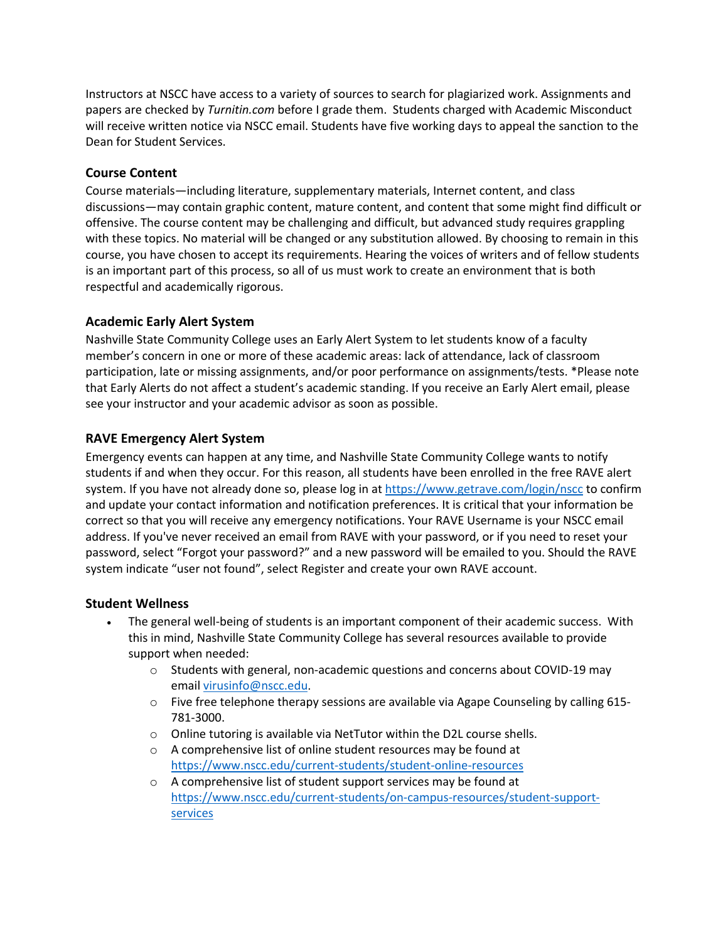Instructors at NSCC have access to a variety of sources to search for plagiarized work. Assignments and papers are checked by *Turnitin.com* before I grade them. Students charged with Academic Misconduct will receive written notice via NSCC email. Students have five working days to appeal the sanction to the Dean for Student Services.

#### **Course Content**

Course materials—including literature, supplementary materials, Internet content, and class discussions—may contain graphic content, mature content, and content that some might find difficult or offensive. The course content may be challenging and difficult, but advanced study requires grappling with these topics. No material will be changed or any substitution allowed. By choosing to remain in this course, you have chosen to accept its requirements. Hearing the voices of writers and of fellow students is an important part of this process, so all of us must work to create an environment that is both respectful and academically rigorous.

### **Academic Early Alert System**

Nashville State Community College uses an Early Alert System to let students know of a faculty member's concern in one or more of these academic areas: lack of attendance, lack of classroom participation, late or missing assignments, and/or poor performance on assignments/tests. \*Please note that Early Alerts do not affect a student's academic standing. If you receive an Early Alert email, please see your instructor and your academic advisor as soon as possible.

#### **RAVE Emergency Alert System**

Emergency events can happen at any time, and Nashville State Community College wants to notify students if and when they occur. For this reason, all students have been enrolled in the free RAVE alert system. If you have not already done so, please log in at https://www.getrave.com/login/nscc to confirm and update your contact information and notification preferences. It is critical that your information be correct so that you will receive any emergency notifications. Your RAVE Username is your NSCC email address. If you've never received an email from RAVE with your password, or if you need to reset your password, select "Forgot your password?" and a new password will be emailed to you. Should the RAVE system indicate "user not found", select Register and create your own RAVE account.

#### **Student Wellness**

- The general well-being of students is an important component of their academic success. With this in mind, Nashville State Community College has several resources available to provide support when needed:
	- o Students with general, non-academic questions and concerns about COVID-19 may email virusinfo@nscc.edu.
	- $\circ$  Five free telephone therapy sessions are available via Agape Counseling by calling 615-781-3000.
	- $\circ$  Online tutoring is available via NetTutor within the D2L course shells.
	- o A comprehensive list of online student resources may be found at https://www.nscc.edu/current-students/student-online-resources
	- o A comprehensive list of student support services may be found at https://www.nscc.edu/current-students/on-campus-resources/student-supportservices